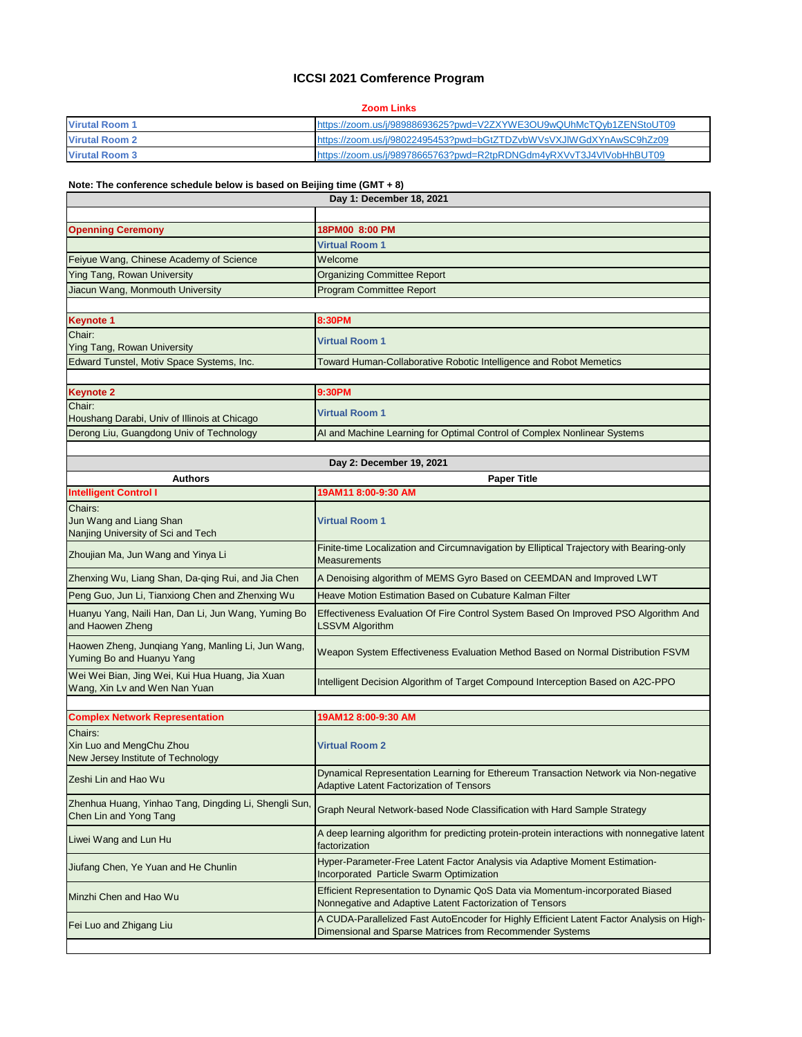## **ICCSI 2021 Comference Program**

## **Zoom Links**

| <b>Virutal Room 1</b> | https://zoom.us/j/98988693625?pwd=V2ZXYWE3OU9wQUhMcTQyb1ZENStoUT09 |
|-----------------------|--------------------------------------------------------------------|
| <b>Virutal Room 2</b> | https://zoom.us/j/98022495453?pwd=bGtZTDZvbWVsVXJIWGdXYnAwSC9hZz09 |
| <b>Virutal Room 3</b> | https://zoom.us/j/98978665763?pwd=R2tpRDNGdm4yRXVvT3J4VIVobHhBUT09 |

## **Note: The conference schedule below is based on Beijing time (GMT + 8)**

| Day 1: December 18, 2021                                                         |                                                                                                                                                       |
|----------------------------------------------------------------------------------|-------------------------------------------------------------------------------------------------------------------------------------------------------|
|                                                                                  |                                                                                                                                                       |
| <b>Openning Ceremony</b>                                                         | 18PM00 8:00 PM                                                                                                                                        |
|                                                                                  | <b>Virtual Room 1</b>                                                                                                                                 |
| Feiyue Wang, Chinese Academy of Science                                          | Welcome                                                                                                                                               |
| <b>Ying Tang, Rowan University</b>                                               | <b>Organizing Committee Report</b>                                                                                                                    |
| Jiacun Wang, Monmouth University                                                 | <b>Program Committee Report</b>                                                                                                                       |
|                                                                                  |                                                                                                                                                       |
| <b>Keynote 1</b>                                                                 | 8:30PM                                                                                                                                                |
| Chair:<br>Ying Tang, Rowan University                                            | <b>Virtual Room 1</b>                                                                                                                                 |
| Edward Tunstel, Motiv Space Systems, Inc.                                        | Toward Human-Collaborative Robotic Intelligence and Robot Memetics                                                                                    |
|                                                                                  |                                                                                                                                                       |
| <b>Keynote 2</b>                                                                 | 9:30PM                                                                                                                                                |
| Chair:<br>Houshang Darabi, Univ of Illinois at Chicago                           | <b>Virtual Room 1</b>                                                                                                                                 |
| Derong Liu, Guangdong Univ of Technology                                         | AI and Machine Learning for Optimal Control of Complex Nonlinear Systems                                                                              |
|                                                                                  |                                                                                                                                                       |
|                                                                                  | Day 2: December 19, 2021                                                                                                                              |
| <b>Authors</b>                                                                   | <b>Paper Title</b>                                                                                                                                    |
| <b>Intelligent Control I</b>                                                     | 19AM11 8:00-9:30 AM                                                                                                                                   |
| Chairs:<br>Jun Wang and Liang Shan<br>Nanjing University of Sci and Tech         | <b>Virtual Room 1</b>                                                                                                                                 |
| Zhoujian Ma, Jun Wang and Yinya Li                                               | Finite-time Localization and Circumnavigation by Elliptical Trajectory with Bearing-only<br><b>Measurements</b>                                       |
| Zhenxing Wu, Liang Shan, Da-qing Rui, and Jia Chen                               | A Denoising algorithm of MEMS Gyro Based on CEEMDAN and Improved LWT                                                                                  |
| Peng Guo, Jun Li, Tianxiong Chen and Zhenxing Wu                                 | Heave Motion Estimation Based on Cubature Kalman Filter                                                                                               |
| Huanyu Yang, Naili Han, Dan Li, Jun Wang, Yuming Bo<br>and Haowen Zheng          | Effectiveness Evaluation Of Fire Control System Based On Improved PSO Algorithm And<br><b>LSSVM Algorithm</b>                                         |
| Haowen Zheng, Junqiang Yang, Manling Li, Jun Wang,<br>Yuming Bo and Huanyu Yang  | Weapon System Effectiveness Evaluation Method Based on Normal Distribution FSVM                                                                       |
| Wei Wei Bian, Jing Wei, Kui Hua Huang, Jia Xuan<br>Wang, Xin Lv and Wen Nan Yuan | Intelligent Decision Algorithm of Target Compound Interception Based on A2C-PPO                                                                       |
|                                                                                  |                                                                                                                                                       |
| <b>Complex Network Representation</b>                                            | 19AM12 8:00-9:30 AM                                                                                                                                   |
| Chairs:<br>Xin Luo and MengChu Zhou<br>New Jersey Institute of Technology        | <b>Virtual Room 2</b>                                                                                                                                 |
| Zeshi Lin and Hao Wu                                                             | Dynamical Representation Learning for Ethereum Transaction Network via Non-negative<br><b>Adaptive Latent Factorization of Tensors</b>                |
| Zhenhua Huang, Yinhao Tang, Dingding Li, Shengli Sun,<br>Chen Lin and Yong Tang  | Graph Neural Network-based Node Classification with Hard Sample Strategy                                                                              |
| Liwei Wang and Lun Hu                                                            | A deep learning algorithm for predicting protein-protein interactions with nonnegative latent<br>factorization                                        |
| Jiufang Chen, Ye Yuan and He Chunlin                                             | Hyper-Parameter-Free Latent Factor Analysis via Adaptive Moment Estimation-<br>Incorporated Particle Swarm Optimization                               |
| Minzhi Chen and Hao Wu                                                           | Efficient Representation to Dynamic QoS Data via Momentum-incorporated Biased<br>Nonnegative and Adaptive Latent Factorization of Tensors             |
| Fei Luo and Zhigang Liu                                                          | A CUDA-Parallelized Fast AutoEncoder for Highly Efficient Latent Factor Analysis on High-<br>Dimensional and Sparse Matrices from Recommender Systems |
|                                                                                  |                                                                                                                                                       |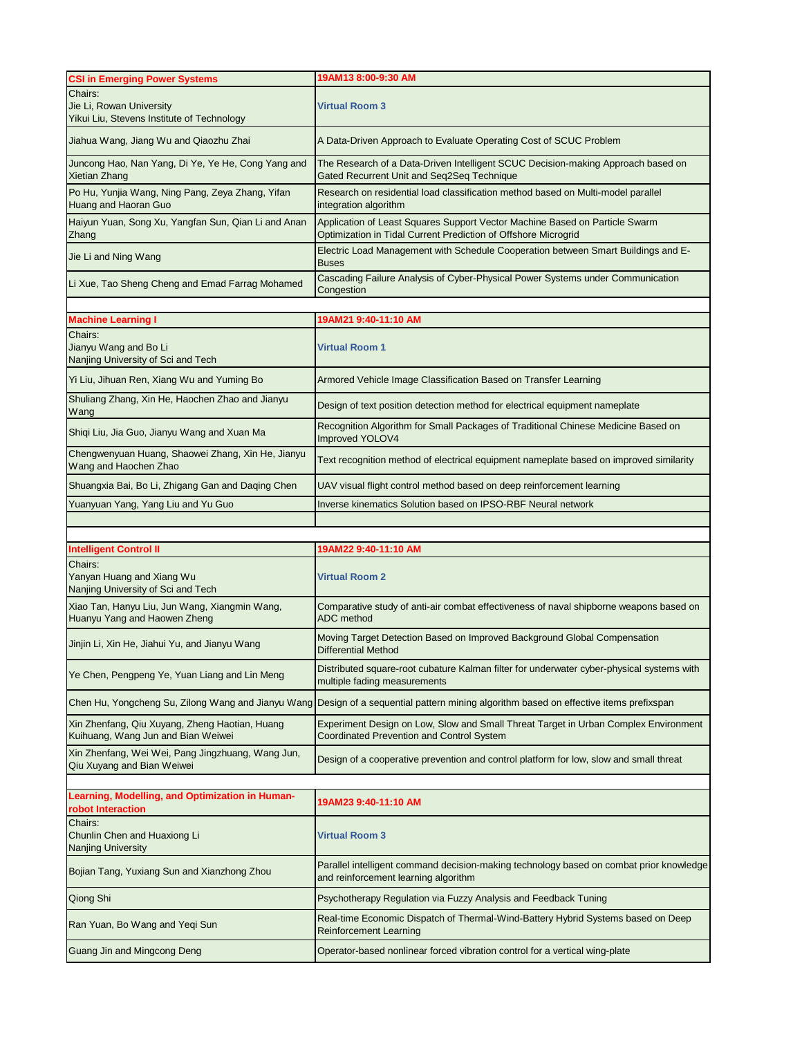|                                                                                                                           | 19AM13 8:00-9:30 AM                                                                                                                           |
|---------------------------------------------------------------------------------------------------------------------------|-----------------------------------------------------------------------------------------------------------------------------------------------|
| <b>CSI in Emerging Power Systems</b><br>Chairs:<br>Jie Li, Rowan University<br>Yikui Liu, Stevens Institute of Technology | Virtual Room 3                                                                                                                                |
| Jiahua Wang, Jiang Wu and Qiaozhu Zhai                                                                                    | A Data-Driven Approach to Evaluate Operating Cost of SCUC Problem                                                                             |
| Juncong Hao, Nan Yang, Di Ye, Ye He, Cong Yang and<br>Xietian Zhang                                                       | The Research of a Data-Driven Intelligent SCUC Decision-making Approach based on<br>Gated Recurrent Unit and Seq2Seq Technique                |
| Po Hu, Yunjia Wang, Ning Pang, Zeya Zhang, Yifan<br>Huang and Haoran Guo                                                  | Research on residential load classification method based on Multi-model parallel<br>integration algorithm                                     |
| Haiyun Yuan, Song Xu, Yangfan Sun, Qian Li and Anan<br>Zhang                                                              | Application of Least Squares Support Vector Machine Based on Particle Swarm<br>Optimization in Tidal Current Prediction of Offshore Microgrid |
| Jie Li and Ning Wang                                                                                                      | Electric Load Management with Schedule Cooperation between Smart Buildings and E-<br><b>Buses</b>                                             |
| Li Xue, Tao Sheng Cheng and Emad Farrag Mohamed                                                                           | Cascading Failure Analysis of Cyber-Physical Power Systems under Communication<br>Congestion                                                  |
|                                                                                                                           |                                                                                                                                               |
| <b>Machine Learning I</b>                                                                                                 | 19AM21 9:40-11:10 AM                                                                                                                          |
| Chairs:<br>Jianyu Wang and Bo Li<br>Nanjing University of Sci and Tech                                                    | <b>Virtual Room 1</b>                                                                                                                         |
| Yi Liu, Jihuan Ren, Xiang Wu and Yuming Bo                                                                                | Armored Vehicle Image Classification Based on Transfer Learning                                                                               |
| Shuliang Zhang, Xin He, Haochen Zhao and Jianyu<br>Wang                                                                   | Design of text position detection method for electrical equipment nameplate                                                                   |
| Shiqi Liu, Jia Guo, Jianyu Wang and Xuan Ma                                                                               | Recognition Algorithm for Small Packages of Traditional Chinese Medicine Based on<br><b>Improved YOLOV4</b>                                   |
| Chengwenyuan Huang, Shaowei Zhang, Xin He, Jianyu<br>Wang and Haochen Zhao                                                | Text recognition method of electrical equipment nameplate based on improved similarity                                                        |
| Shuangxia Bai, Bo Li, Zhigang Gan and Daqing Chen                                                                         | UAV visual flight control method based on deep reinforcement learning                                                                         |
| Yuanyuan Yang, Yang Liu and Yu Guo                                                                                        | Inverse kinematics Solution based on IPSO-RBF Neural network                                                                                  |
|                                                                                                                           |                                                                                                                                               |
|                                                                                                                           |                                                                                                                                               |
| <b>Intelligent Control II</b>                                                                                             | 19AM22 9:40-11:10 AM                                                                                                                          |
| Chairs:<br>Yanyan Huang and Xiang Wu<br>Nanjing University of Sci and Tech                                                | <b>Virtual Room 2</b>                                                                                                                         |
| Xiao Tan, Hanyu Liu, Jun Wang, Xiangmin Wang,<br>Huanyu Yang and Haowen Zheng                                             | Comparative study of anti-air combat effectiveness of naval shipborne weapons based on<br><b>ADC</b> method                                   |
| Jinjin Li, Xin He, Jiahui Yu, and Jianyu Wang                                                                             | Moving Target Detection Based on Improved Background Global Compensation<br><b>Differential Method</b>                                        |
| Ye Chen, Pengpeng Ye, Yuan Liang and Lin Meng                                                                             | Distributed square-root cubature Kalman filter for underwater cyber-physical systems with<br>multiple fading measurements                     |
|                                                                                                                           |                                                                                                                                               |
|                                                                                                                           | Chen Hu, Yongcheng Su, Zilong Wang and Jianyu Wang Design of a sequential pattern mining algorithm based on effective items prefixspan        |
| Xin Zhenfang, Qiu Xuyang, Zheng Haotian, Huang<br>Kuihuang, Wang Jun and Bian Weiwei                                      | Experiment Design on Low, Slow and Small Threat Target in Urban Complex Environment<br><b>Coordinated Prevention and Control System</b>       |
| Xin Zhenfang, Wei Wei, Pang Jingzhuang, Wang Jun,<br>Qiu Xuyang and Bian Weiwei                                           | Design of a cooperative prevention and control platform for low, slow and small threat                                                        |
|                                                                                                                           |                                                                                                                                               |
| Learning, Modelling, and Optimization in Human-<br>robot Interaction                                                      | 19AM23 9:40-11:10 AM                                                                                                                          |
| Chairs:<br>Chunlin Chen and Huaxiong Li<br>Nanjing University                                                             | <b>Virtual Room 3</b>                                                                                                                         |
| Bojian Tang, Yuxiang Sun and Xianzhong Zhou                                                                               | Parallel intelligent command decision-making technology based on combat prior knowledge<br>and reinforcement learning algorithm               |
| Qiong Shi                                                                                                                 | Psychotherapy Regulation via Fuzzy Analysis and Feedback Tuning                                                                               |
| Ran Yuan, Bo Wang and Yeqi Sun                                                                                            | Real-time Economic Dispatch of Thermal-Wind-Battery Hybrid Systems based on Deep<br><b>Reinforcement Learning</b>                             |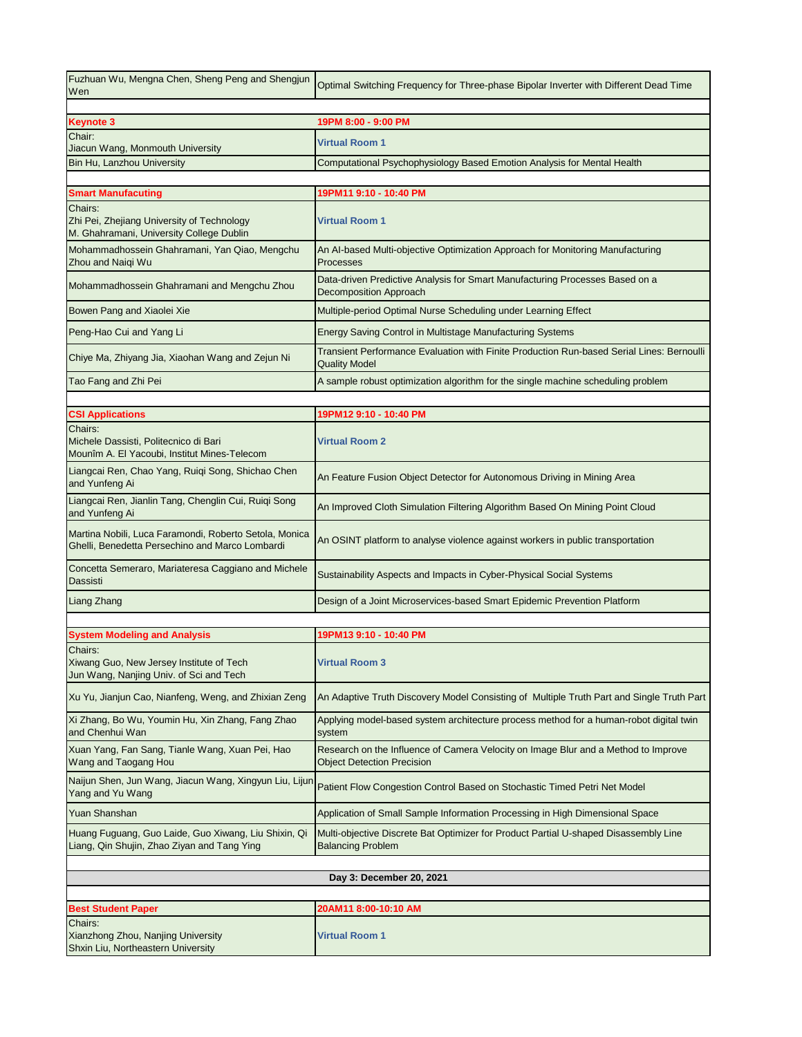| Fuzhuan Wu, Mengna Chen, Sheng Peng and Shengjun<br>Wen                                                   | Optimal Switching Frequency for Three-phase Bipolar Inverter with Different Dead Time                                   |
|-----------------------------------------------------------------------------------------------------------|-------------------------------------------------------------------------------------------------------------------------|
|                                                                                                           |                                                                                                                         |
| <b>Keynote 3</b><br>Chair:                                                                                | 19PM 8:00 - 9:00 PM                                                                                                     |
| Jiacun Wang, Monmouth University                                                                          | <b>Virtual Room 1</b>                                                                                                   |
| Bin Hu, Lanzhou University                                                                                | Computational Psychophysiology Based Emotion Analysis for Mental Health                                                 |
|                                                                                                           |                                                                                                                         |
| <b>Smart Manufacuting</b>                                                                                 | 19PM11 9:10 - 10:40 PM                                                                                                  |
| Chairs:<br>Zhi Pei, Zhejiang University of Technology<br>M. Ghahramani, University College Dublin         | <b>Virtual Room 1</b>                                                                                                   |
| Mohammadhossein Ghahramani, Yan Qiao, Mengchu<br>Zhou and Naigi Wu                                        | An Al-based Multi-objective Optimization Approach for Monitoring Manufacturing<br>Processes                             |
| Mohammadhossein Ghahramani and Mengchu Zhou                                                               | Data-driven Predictive Analysis for Smart Manufacturing Processes Based on a<br><b>Decomposition Approach</b>           |
| Bowen Pang and Xiaolei Xie                                                                                | Multiple-period Optimal Nurse Scheduling under Learning Effect                                                          |
| Peng-Hao Cui and Yang Li                                                                                  | Energy Saving Control in Multistage Manufacturing Systems                                                               |
| Chiye Ma, Zhiyang Jia, Xiaohan Wang and Zejun Ni                                                          | Transient Performance Evaluation with Finite Production Run-based Serial Lines: Bernoulli<br><b>Quality Model</b>       |
| Tao Fang and Zhi Pei                                                                                      | A sample robust optimization algorithm for the single machine scheduling problem                                        |
|                                                                                                           |                                                                                                                         |
| <b>CSI Applications</b>                                                                                   | 19PM12 9:10 - 10:40 PM                                                                                                  |
| Chairs:<br>Michele Dassisti, Politecnico di Bari<br>Mounîm A. El Yacoubi, Institut Mines-Telecom          | <b>Virtual Room 2</b>                                                                                                   |
| Liangcai Ren, Chao Yang, Ruiqi Song, Shichao Chen<br>and Yunfeng Ai                                       | An Feature Fusion Object Detector for Autonomous Driving in Mining Area                                                 |
| Liangcai Ren, Jianlin Tang, Chenglin Cui, Ruiqi Song<br>and Yunfeng Ai                                    | An Improved Cloth Simulation Filtering Algorithm Based On Mining Point Cloud                                            |
| Martina Nobili, Luca Faramondi, Roberto Setola, Monica<br>Ghelli, Benedetta Persechino and Marco Lombardi | An OSINT platform to analyse violence against workers in public transportation                                          |
| Concetta Semeraro, Mariateresa Caggiano and Michele<br>Dassisti                                           | Sustainability Aspects and Impacts in Cyber-Physical Social Systems                                                     |
| Liang Zhang                                                                                               | Design of a Joint Microservices-based Smart Epidemic Prevention Platform                                                |
|                                                                                                           |                                                                                                                         |
| <b>System Modeling and Analysis</b>                                                                       | 19PM13 9:10 - 10:40 PM                                                                                                  |
| Chairs:<br>Xiwang Guo, New Jersey Institute of Tech<br>Jun Wang, Nanjing Univ. of Sci and Tech            | <b>Virtual Room 3</b>                                                                                                   |
| Xu Yu, Jianjun Cao, Nianfeng, Weng, and Zhixian Zeng                                                      | An Adaptive Truth Discovery Model Consisting of Multiple Truth Part and Single Truth Part                               |
| Xi Zhang, Bo Wu, Youmin Hu, Xin Zhang, Fang Zhao<br>and Chenhui Wan                                       | Applying model-based system architecture process method for a human-robot digital twin<br>system                        |
| Xuan Yang, Fan Sang, Tianle Wang, Xuan Pei, Hao<br>Wang and Taogang Hou                                   | Research on the Influence of Camera Velocity on Image Blur and a Method to Improve<br><b>Object Detection Precision</b> |
| Naijun Shen, Jun Wang, Jiacun Wang, Xingyun Liu, Lijun<br>Yang and Yu Wang                                | Patient Flow Congestion Control Based on Stochastic Timed Petri Net Model                                               |
| Yuan Shanshan                                                                                             | Application of Small Sample Information Processing in High Dimensional Space                                            |
| Huang Fuguang, Guo Laide, Guo Xiwang, Liu Shixin, Qi<br>Liang, Qin Shujin, Zhao Ziyan and Tang Ying       | Multi-objective Discrete Bat Optimizer for Product Partial U-shaped Disassembly Line<br><b>Balancing Problem</b>        |
|                                                                                                           |                                                                                                                         |
| Day 3: December 20, 2021                                                                                  |                                                                                                                         |
|                                                                                                           | 20AM11 8:00-10:10 AM                                                                                                    |
| <b>Best Student Paper</b><br>Chairs:                                                                      |                                                                                                                         |
| Xianzhong Zhou, Nanjing University<br>Shxin Liu, Northeastern University                                  | <b>Virtual Room 1</b>                                                                                                   |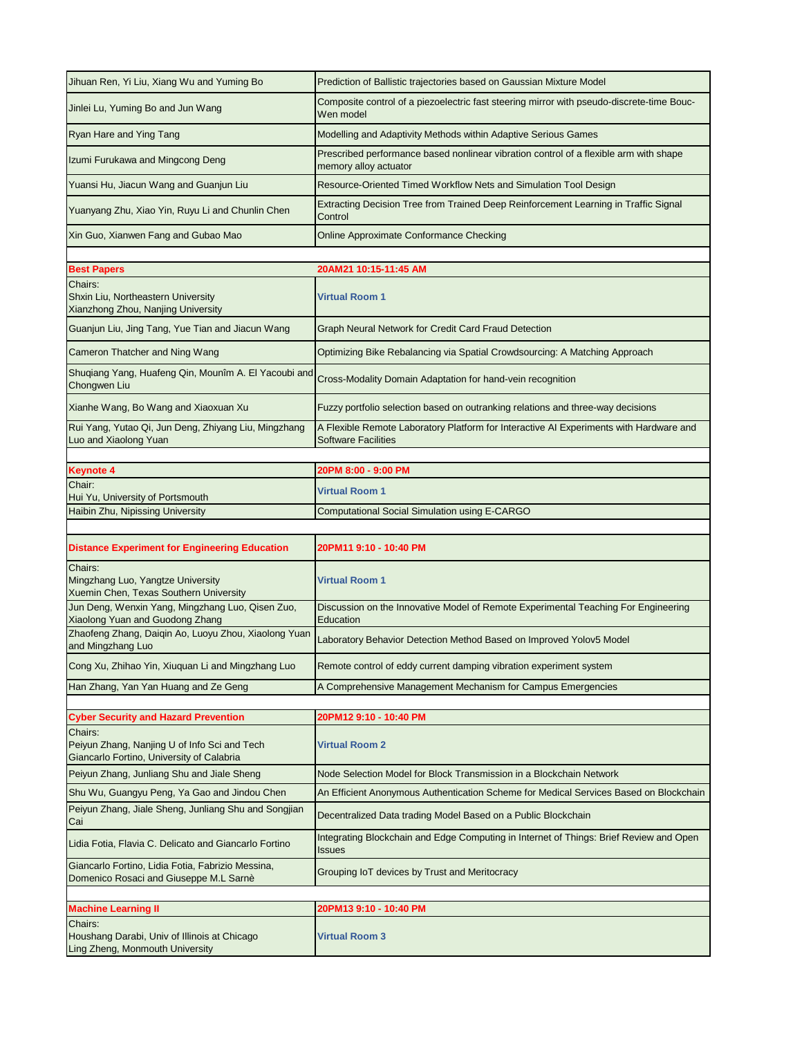| Jihuan Ren, Yi Liu, Xiang Wu and Yuming Bo                                                           | Prediction of Ballistic trajectories based on Gaussian Mixture Model                                                 |  |
|------------------------------------------------------------------------------------------------------|----------------------------------------------------------------------------------------------------------------------|--|
| Jinlei Lu, Yuming Bo and Jun Wang                                                                    | Composite control of a piezoelectric fast steering mirror with pseudo-discrete-time Bouc-<br>Wen model               |  |
| Ryan Hare and Ying Tang                                                                              | Modelling and Adaptivity Methods within Adaptive Serious Games                                                       |  |
| Izumi Furukawa and Mingcong Deng                                                                     | Prescribed performance based nonlinear vibration control of a flexible arm with shape<br>memory alloy actuator       |  |
| Yuansi Hu, Jiacun Wang and Guanjun Liu                                                               | Resource-Oriented Timed Workflow Nets and Simulation Tool Design                                                     |  |
| Yuanyang Zhu, Xiao Yin, Ruyu Li and Chunlin Chen                                                     | Extracting Decision Tree from Trained Deep Reinforcement Learning in Traffic Signal<br>Control                       |  |
| Xin Guo, Xianwen Fang and Gubao Mao                                                                  | Online Approximate Conformance Checking                                                                              |  |
|                                                                                                      |                                                                                                                      |  |
| <b>Best Papers</b>                                                                                   | 20AM21 10:15-11:45 AM                                                                                                |  |
| Chairs:<br>Shxin Liu, Northeastern University<br>Xianzhong Zhou, Nanjing University                  | <b>Virtual Room 1</b>                                                                                                |  |
| Guanjun Liu, Jing Tang, Yue Tian and Jiacun Wang                                                     | Graph Neural Network for Credit Card Fraud Detection                                                                 |  |
| Cameron Thatcher and Ning Wang                                                                       | Optimizing Bike Rebalancing via Spatial Crowdsourcing: A Matching Approach                                           |  |
| Shuqiang Yang, Huafeng Qin, Mounîm A. El Yacoubi and<br>Chongwen Liu                                 | Cross-Modality Domain Adaptation for hand-vein recognition                                                           |  |
| Xianhe Wang, Bo Wang and Xiaoxuan Xu                                                                 | Fuzzy portfolio selection based on outranking relations and three-way decisions                                      |  |
| Rui Yang, Yutao Qi, Jun Deng, Zhiyang Liu, Mingzhang<br>Luo and Xiaolong Yuan                        | A Flexible Remote Laboratory Platform for Interactive AI Experiments with Hardware and<br><b>Software Facilities</b> |  |
|                                                                                                      |                                                                                                                      |  |
| <b>Keynote 4</b>                                                                                     | 20PM 8:00 - 9:00 PM                                                                                                  |  |
| Chair:                                                                                               |                                                                                                                      |  |
| Hui Yu, University of Portsmouth                                                                     | <b>Virtual Room 1</b>                                                                                                |  |
| Haibin Zhu, Nipissing University                                                                     | <b>Computational Social Simulation using E-CARGO</b>                                                                 |  |
|                                                                                                      |                                                                                                                      |  |
| <b>Distance Experiment for Engineering Education</b>                                                 | 20PM11 9:10 - 10:40 PM                                                                                               |  |
| Chairs:<br>Mingzhang Luo, Yangtze University<br>Xuemin Chen, Texas Southern University               | <b>Virtual Room 1</b>                                                                                                |  |
| Jun Deng, Wenxin Yang, Mingzhang Luo, Qisen Zuo,<br>Xiaolong Yuan and Guodong Zhang                  | Discussion on the Innovative Model of Remote Experimental Teaching For Engineering<br>Education                      |  |
| Zhaofeng Zhang, Daiqin Ao, Luoyu Zhou, Xiaolong Yuan<br>and Mingzhang Luo                            | Laboratory Behavior Detection Method Based on Improved Yolov5 Model                                                  |  |
| Cong Xu, Zhihao Yin, Xiuquan Li and Mingzhang Luo                                                    | Remote control of eddy current damping vibration experiment system                                                   |  |
| Han Zhang, Yan Yan Huang and Ze Geng                                                                 | A Comprehensive Management Mechanism for Campus Emergencies                                                          |  |
|                                                                                                      |                                                                                                                      |  |
| <b>Cyber Security and Hazard Prevention</b>                                                          | 20PM12 9:10 - 10:40 PM                                                                                               |  |
| Chairs:<br>Peiyun Zhang, Nanjing U of Info Sci and Tech<br>Giancarlo Fortino, University of Calabria | <b>Virtual Room 2</b>                                                                                                |  |
| Peiyun Zhang, Junliang Shu and Jiale Sheng                                                           | Node Selection Model for Block Transmission in a Blockchain Network                                                  |  |
| Shu Wu, Guangyu Peng, Ya Gao and Jindou Chen                                                         | An Efficient Anonymous Authentication Scheme for Medical Services Based on Blockchain                                |  |
| Peiyun Zhang, Jiale Sheng, Junliang Shu and Songjian<br>Cai                                          | Decentralized Data trading Model Based on a Public Blockchain                                                        |  |
| Lidia Fotia, Flavia C. Delicato and Giancarlo Fortino                                                | Integrating Blockchain and Edge Computing in Internet of Things: Brief Review and Open<br>Issues                     |  |
| Giancarlo Fortino, Lidia Fotia, Fabrizio Messina,<br>Domenico Rosaci and Giuseppe M.L Sarnè          | Grouping IoT devices by Trust and Meritocracy                                                                        |  |
|                                                                                                      |                                                                                                                      |  |
| <b>Machine Learning II</b>                                                                           | 20PM13 9:10 - 10:40 PM                                                                                               |  |
| Chairs:<br>Houshang Darabi, Univ of Illinois at Chicago<br>Ling Zheng, Monmouth University           | <b>Virtual Room 3</b>                                                                                                |  |